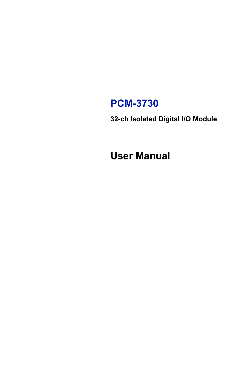# **PCM-3730**

**32-ch Isolated Digital I/O Module**

**User Manual**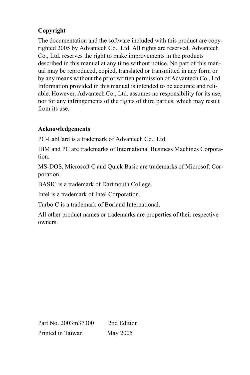# **Copyright**

The documentation and the software included with this product are copyrighted 2005 by Advantech Co., Ltd. All rights are reserved. Advantech Co., Ltd. reserves the right to make improvements in the products described in this manual at any time without notice. No part of this manual may be reproduced, copied, translated or transmitted in any form or by any means without the prior written permission of Advantech Co., Ltd. Information provided in this manual is intended to be accurate and reliable. However, Advantech Co., Ltd. assumes no responsibility for its use, nor for any infringements of the rights of third parties, which may result from its use.

# **Acknowledgements**

PC-LabCard is a trademark of Advantech Co., Ltd.

IBM and PC are trademarks of International Business Machines Corporation.

MS-DOS, Microsoft C and Quick Basic are trademarks of Microsoft Corporation.

BASIC is a trademark of Dartmouth College.

Intel is a trademark of Intel Corporation.

Turbo C is a trademark of Borland International.

All other product names or trademarks are properties of their respective owners.

Part No. 2003m37300 2nd Edition Printed in Taiwan May 2005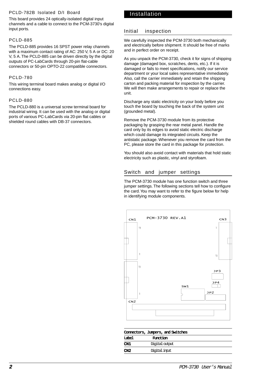#### PCLD-782B Isolated D/I Board

This board provides 24 optically-isolated digital input channels and a cable to connect to the PCM-3730's digital input ports.

#### PCLD-885

The PCLD-885 provides 16 SPST power relay channels with a maximum contact rating of AC: 250 V, 5 A or DC: 20 V, 5 A. The PCLD-885 can be driven directly by the digital outputs of PC-LabCards through 20-pin flat-cable connectors or 50-pin OPTO-22 compatible connectors.

#### PCLD-780

This wiring terminal board makes analog or digital I/O connections easy.

#### PCLD-880

The PCLD-880 is a universal screw terminal board for industrial wiring. It can be used with the analog or digital ports of various PC-LabCards via 20-pin flat cables or shielded round cables with DB-37 connectors.

## Installation

#### Initial inspection

We carefully inspected the PCM-3730 both mechanically and electrically before shipment. It should be free of marks and in perfect order on receipt.

As you unpack the PCM-3730, check it for signs of shipping damage (damaged box, scratches, dents, etc.). If it is damaged or fails to meet specifications, notify our service department or your local sales representative immediately. Also, call the carrier immediately and retain the shipping carton and packing material for inspection by the carrier. We will then make arrangements to repair or replace the unit.

Discharge any static electricity on your body before you touch the board by touching the back of the system unit (grounded metal).

Remove the PCM-3730 module from its protective packaging by grasping the rear metal panel. Handle the card only by its edges to avoid static electric discharge which could damage its integrated circuits. Keep the antistatic package. Whenever you remove the card from the PC, please store the card in this package for protection.

You should also avoid contact with materials that hold static electricity such as plastic, vinyl and styrofoam.

# Switch and jumper settings

The PCM-3730 module has one function switch and three jumper settings. The following sections tell how to configure the card. You may want to refer to the figure below for help in identifying module components.



| Connectors, Jumpers, and Switches |  |  |  |  |
|-----------------------------------|--|--|--|--|
| <b>Function</b>                   |  |  |  |  |
| Digital cutput                    |  |  |  |  |
| Digital input                     |  |  |  |  |
|                                   |  |  |  |  |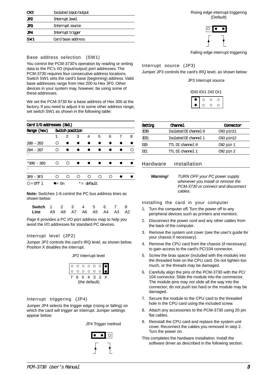| CN3 | Isolated input/output |  |  |
|-----|-----------------------|--|--|
| JP2 | <b>Internot level</b> |  |  |
| JP3 | Internuot source      |  |  |
| JP4 | Internuot trioper     |  |  |
| SW1 | Card base address     |  |  |

#### Base address selection (SW1)

You control the PCM-3730's operation by reading or writing data to the PC's I/O (input/output) port addresses. The PCM-3730 requires four consecutive address locations. Switch SW1 sets the card's base (beginning) address. Valid base addresses range from Hex 200 to Hex 3F0. Other devices in your system may, however, be using some of these addresses.

We set the PCM-3730 for a base address of Hex 300 at the factory. If you need to adjust it to some other address range. set switch SW1 as shown in the following table:

|              | Card I/O addresses (SWI) |                 |   |            |   |   |   |   |  |
|--------------|--------------------------|-----------------|---|------------|---|---|---|---|--|
| Range (hex)  |                          | Switch position |   |            |   |   |   |   |  |
|              | 1                        | $\mathfrak{D}$  | 3 | 4          | 5 | 6 | 7 | 8 |  |
| $200 - 203$  | ∩                        |                 |   |            |   |   |   |   |  |
| $204 - 207$  | ∩                        |                 |   |            |   |   |   | ∩ |  |
| ٠            |                          |                 |   |            |   |   |   |   |  |
| $*300 - 303$ | ∩                        | ∩               |   |            |   |   |   |   |  |
|              |                          |                 |   |            |   |   |   |   |  |
| $3F0 - 3F3$  | ∩                        | ∩               | ∩ | ∩          | ∩ | ∩ |   |   |  |
| O = 0ff 1    | $\bullet =$ On           |                 |   | *= default |   |   |   |   |  |

**Note:** Switches 1-6 control the PC bus address lines as shown below:

| Switch 1 2 3 4 5 6 7 8       |  |  |  |  |
|------------------------------|--|--|--|--|
| Line A9 A8 A7 A6 A5 A4 A3 A2 |  |  |  |  |

Page 6 provides a PC I/O port address map to help you avoid the I/O addresses for standard PC devices.

#### Interrupt level (JP2)

Jumper JP2 controls the card's IRQ level, as shown below. Position X disables the interrupt.

JP2 Interrupt level

|               | ∩       | $\circ$ | $\circ$        | $\circ$                 | $\circ$ | $\overline{\phantom{a}}$ |
|---------------|---------|---------|----------------|-------------------------|---------|--------------------------|
|               | $\circ$ | $\circ$ | $\circ$        | $\Omega$                | $\circ$ |                          |
|               | б.      | -5      | $\overline{4}$ | $\overline{\mathbf{3}}$ | - 2     |                          |
| (the default) |         |         |                |                         |         |                          |

#### Interrupt triggering (JP4)

Jumper JP4 selects the trigger edge (rising or falling) on which the card will trigger an interrupt. Jumper settings appear below:

JP4 Trigger method



Rising edge interrupt triggering (Default)



Falling edge interrupt triggering

Interrupt source (JP3)

Jumper JP3 controls the card's IRQ level, as shown below:

JP3 Interrupt source

IDI0 IDI1 DI0 DI1

| × | a. |  |
|---|----|--|
|   |    |  |

| Setting          | Channel               | Connector     |
|------------------|-----------------------|---------------|
| TDT <sub>0</sub> | Isolated DI channel 0 | CN3 pin11     |
| mπ               | Isolated DI channel 1 | CN3 pin12     |
| DT <sub>0</sub>  | TTL DI channel 0      | $CN2$ pin $1$ |
| DT1              | TTL DI channel 1      | CN2 pin 2     |

#### Hardware installation

**Warning!** TURN OFF your PC power supply whenever you install or remove the PCM-3730 or connect and disconnect cables.

Installing the card in your computer

- 1. Turn the computer off. Turn the power off to any peripheral devices such as printers and monitors.
- 2. Disconnect the power cord and any other cables from the back of the computer.
- 3. Remove the system unit cover (see the user's guide for your chassis if necessary).
- 4. Remove the CPU card from the chassis (if necessary) to gain access to the card's PC/104 connector.
- 5. Screw the bras spacer (included with the module) into the threaded hole on the CPU card. Do not tighten too much, or the threads may be damaged.
- 6. Carefully align the pins of the PCM-3730 with the PC/ 104 connector. Slide the module into the commector. The module pins may not slide all the way into the connector; do not push too hard or the module may be damaged.
- 7. Secure the module to the CPU card to the threaded hole in the CPU card using the included screw.
- 8. Attach any accessories to the PCM-3730 using 20 pin flat cables.
- 9. Reinstall the CPU card and replace the system unit cover. Reconnect the cables you removed in step 2. Turn the power on.
- This completes the hardware installation. Install the software driver as described in the following section.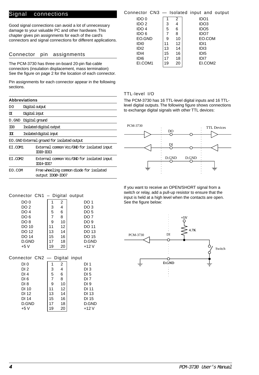### Signal connections

Good signal connections can avoid a lot of unnecessary damage to your valuable PC and other hardware. This chapter gives pin assignments for each of the card's connectors and signal connections for different applications.

#### Connector pin assignments

The PCM-3730 has three on-board 20-pin flat-cable connectors (insulation displacement, mass termination) See the figure on page 2 for the location of each connector.

Pin assignments for each connector appear in the following sections.

|         | <b>Abbreviations</b>                                        |  |  |  |  |
|---------|-------------------------------------------------------------|--|--|--|--|
| DO.     | Digital cutput                                              |  |  |  |  |
| ΓЛ      | Digital input                                               |  |  |  |  |
| D.GND   | Digital ground                                              |  |  |  |  |
| m       | Isolated digital output                                     |  |  |  |  |
| πт      | Isolated digital insut                                      |  |  |  |  |
|         | EO . GND External ground for isolated output                |  |  |  |  |
| ET.COM1 | External common Voc/GND for isolated input<br>TTT0~TTT3     |  |  |  |  |
| ET.COM2 | External common Voc/GND for isolated input<br>TTT4~TTT7     |  |  |  |  |
| EO.COM  | Free wheeling common diode for isolated<br>output ID00~ID07 |  |  |  |  |

# Connector CN3 — Isolated input and output

| IDO 0            |    | 2  | IDO1             |
|------------------|----|----|------------------|
| IDO <sub>2</sub> | 3  | 4  | IDO <sub>3</sub> |
| IDO <sub>4</sub> | 5  | 6  | IDO <sub>5</sub> |
| IDO 6            |    | 8  | IDO7             |
| EO.GND           | 9  | 10 | EO.COM           |
| IDI <sub>0</sub> | 11 | 12 | IDI1             |
| IDI <sub>2</sub> | 13 | 14 | ID <sub>13</sub> |
| IDI <sub>4</sub> | 15 | 16 | ID <sub>15</sub> |
| IDI <sub>6</sub> |    | 18 | IDI7             |
| EI.COM1          | 19 | 20 | ELCOM2           |

#### TTL-level I/O

The PCM-3730 has 16 TTL-level digital inputs and 16 TTLlevel digital outputs. The following figure shows connections to exchange digital signals with other TTL devices:



If you want to receive an OPEN/SHORT signal from a switch or relay, add a pull-up resistor to ensure that the input is held at a high level when the contacts are open. See the figure below:



| DO <sub>2</sub>               | 3              | 4              | DO 3            |
|-------------------------------|----------------|----------------|-----------------|
| DO <sub>4</sub>               | 5              | 6              | DO <sub>5</sub> |
| DO <sub>6</sub>               | 7              | 8              | DO 7            |
| DO <sub>8</sub>               | 9              | 10             | DO 9            |
| DO 10                         | 11             | 12             | DO 11           |
| DO 12                         | 13             | 14             | DO 13           |
| DO 14                         | 15             | 16             | DO 15           |
| D.GND                         | 17             | 18             | D.GND           |
| $+5V$                         | 19             | 20             | $+12V$          |
|                               |                |                |                 |
| Connector CN2 — Digital input |                |                |                 |
| DI 0                          |                | 2              | DI 1            |
| DI <sub>2</sub>               | 3              | $\overline{4}$ | DI 3            |
| DI4                           | 5              | 6              | DI 5            |
| <b>DIC</b>                    | $\overline{ }$ | $\Omega$       | <b>DI7</b>      |

Connector CN1 – Digital output DO 0 1 2 DO 1

| DI4             | 5  | 6  | DI 5   |
|-----------------|----|----|--------|
| DI <sub>6</sub> |    | 8  | DI 7   |
| DI <sub>8</sub> | я  | 10 | DI 9   |
| DI 10           | 11 | 12 | DI 11  |
| DI 12           | 13 | 14 | DI 13  |
| DI 14           | 15 | 16 | DI 15  |
| D.GND           | 17 | 18 | D.GND  |
| $+5V$           | 19 | 20 | $+12V$ |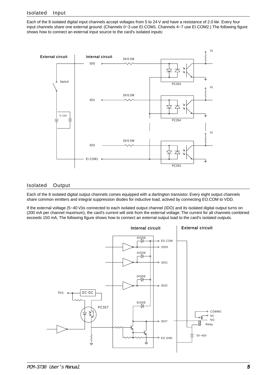Each of the 8 isolated digital input channels accept voltages from 5 to 24 V and have a resistance of 2.0 kW . Every four input channels share one external ground. (Channels 0~3 use EI.COM1. Channels 4~7 use EI.COM2.) The following figure shows how to connect an external input source to the card's isolated inputs:



## Isolated Output

Each of the 8 isolated digital output channels comes equipped with a darlington transistor. Every eight output channels share common emitters and integral suppression diodes for inductive load, actived by connecting EO.COM to VDD.

If the external voltage (5~40 V)is connected to each isolated output channel (IDO) and its isolated digital output turns on (200 mA per channel maximum), the card's current will sink from the external voltage. The current for all channels combined exceeds 150 mA, The following figure shows how to connect an external output load to the card's isolated outputs.